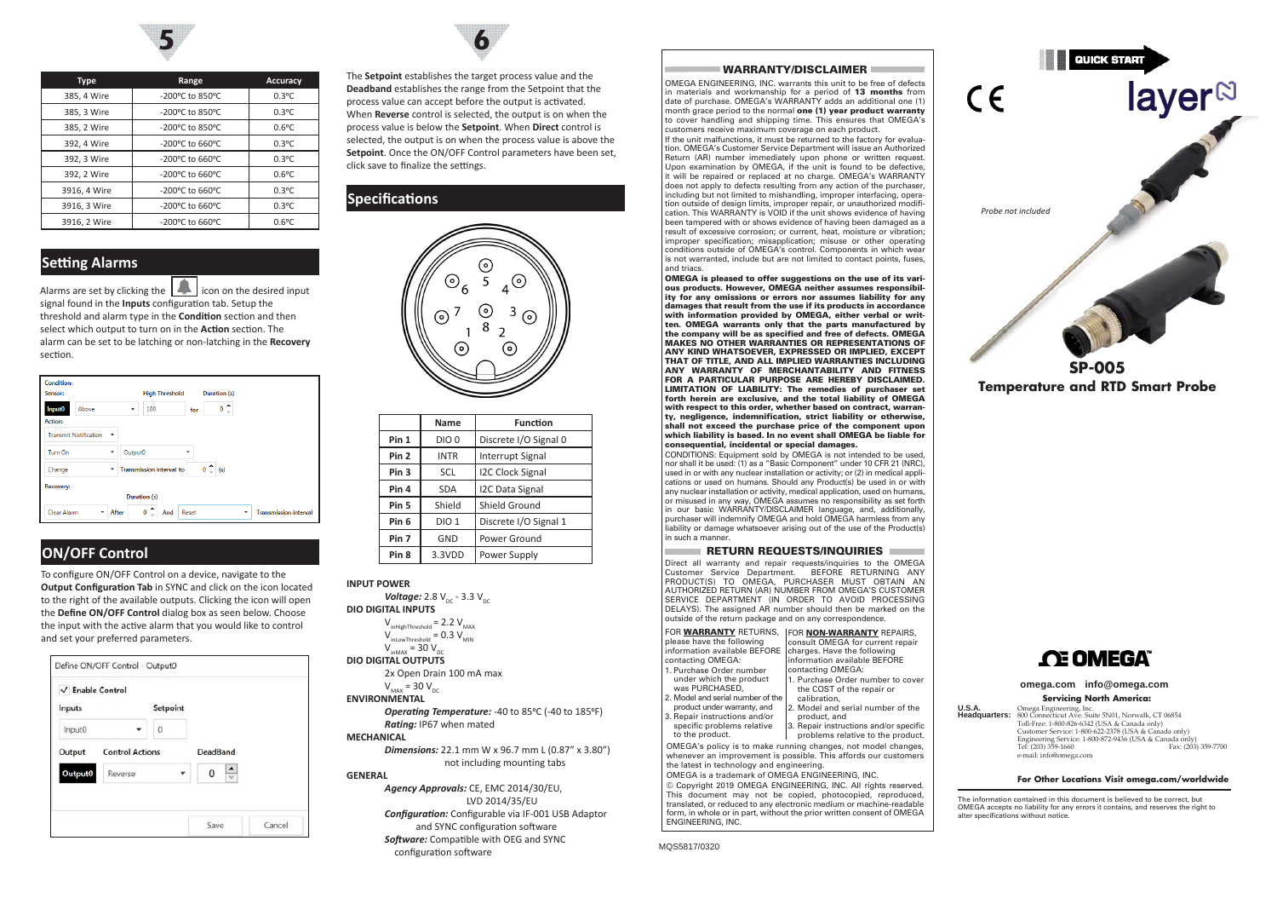

| <b>Type</b>  | Range                      | <b>Accuracy</b> |
|--------------|----------------------------|-----------------|
| 385, 4 Wire  | -200°C to 850°C            | $0.3^{\circ}$ C |
| 385, 3 Wire  | -200°C to 850°C            | $0.3$ °C        |
| 385, 2 Wire  | -200°C to 850°C            | $0.6^{\circ}$ C |
| 392, 4 Wire  | -200°C to 660°C            | $0.3^{\circ}$ C |
| 392, 3 Wire  | $-200^{\circ}$ C to 660 °C | $0.3^{\circ}$ C |
| 392, 2 Wire  | -200°C to 660°C            | $0.6^{\circ}$ C |
| 3916, 4 Wire | -200°C to 660°C            | $0.3$ °C        |
| 3916, 3 Wire | -200°C to 660°C            | $0.3^{\circ}$ C |
| 3916, 2 Wire | $-200^{\circ}$ C to 660 °C | $0.6^{\circ}$ C |

# **Setting Alarms**

Alarms are set by clicking the  $\left| \right|$  icon on the desired input signal found in the **Inputs** configuration tab. Setup the threshold and alarm type in the **Condition** section and then select which output to turn on in the **Action** section. The alarm can be set to be latching or non-latching in the **Recovery** section.

| <b>Condition:</b><br>Sensor:  |                              |              | <b>High Threshold</b>              |       | Duration (s)          |   |                              |
|-------------------------------|------------------------------|--------------|------------------------------------|-------|-----------------------|---|------------------------------|
|                               | Above                        | ٠            | 100                                |       | $\circ$ $\hat{\circ}$ |   |                              |
| Input <sub>0</sub><br>Action: |                              |              |                                    | for   |                       |   |                              |
|                               | <b>Transmit Notification</b> | ٠            |                                    |       |                       |   |                              |
| Turn On                       |                              | Output0<br>٠ |                                    | ٠     |                       |   |                              |
| Change                        |                              | $\check{}$   | <b>Transmission interval to</b>    |       | $0 \sim$ (s)          |   |                              |
| Recovery:                     |                              |              | Duration (s)                       |       |                       |   |                              |
| Clear Alarm                   | ۰                            | After        | ▴<br>$\mathbf{0}$<br>And<br>$\sim$ | Reset |                       | ٠ | <b>Transmission interval</b> |

# **ON/OFF Control**

To configure ON/OFF Control on a device, navigate to the **Output Configuration Tab** in SYNC and click on the icon located to the right of the available outputs. Clicking the icon will open the **Define ON/OFF Control** dialog box as seen below. Choose the input with the active alarm that you would like to control and set your preferred parameters.





The **Setpoint** establishes the target process value and the **Deadband** establishes the range from the Setpoint that the process value can accept before the output is activated. When **Reverse** control is selected, the output is on when the process value is below the **Setpoint**. When **Direct** control is selected, the output is on when the process value is above the **Setpoint**. Once the ON/OFF Control parameters have been set, click save to finalize the settings.

## **Specifications**



|                  | Name             | <b>Function</b>         |
|------------------|------------------|-------------------------|
| Pin 1            | DIO <sub>0</sub> | Discrete I/O Signal 0   |
| Pin <sub>2</sub> | <b>INTR</b>      | <b>Interrupt Signal</b> |
| Pin <sub>3</sub> | SCL              | <b>I2C Clock Signal</b> |
| Pin 4            | <b>SDA</b>       | I2C Data Signal         |
| Pin <sub>5</sub> | Shield           | Shield Ground           |
| Pin <sub>6</sub> | DIO <sub>1</sub> | Discrete I/O Signal 1   |
| Pin <sub>7</sub> | GND              | Power Ground            |
| Pin <sub>8</sub> | 3.3VDD           | Power Supply            |

#### **INPUT POWER**

*Software:* Compatible with OEG and SYNC configuration software

#### WARRANTY/DISCLAIMER

OMEGA ENGINEERING, INC. warrants this unit to be free of defects in materials and workmanship for a period of 13 months from date of purchase. OMEGA's WARRANTY adds an additional one (1) month grace period to the normal one (1) year product warranty to cover handling and shipping time. This ensures that OMEGA's customers receive maximum coverage on each product.

If the unit malfunctions, it must be returned to the factory for evaluation. OMEGA's Customer Service Department will issue an Authorized Return (AR) number immediately upon phone or written request. Upon examination by OMEGA, if the unit is found to be defective, it will be repaired or replaced at no charge. OMEGA's WARRANTY does not apply to defects resulting from any action of the purchaser, including but not limited to mishandling, improper interfacing, operation outside of design limits, improper repair, or unauthorized modification. This WARRANTY is VOID if the unit shows evidence of having been tampered with or shows evidence of having been damaged as a result of excessive corrosion; or current, heat, moisture or vibration; improper specification; misapplication; misuse or other operating conditions outside of OMEGA's control. Components in which wear is not warranted, include but are not limited to contact points, fuses, and triacs.

OMEGA is pleased to offer suggestions on the use of its various products. However, OMEGA neither assumes responsibility for any omissions or errors nor assumes liability for any damages that result from the use if its products in accordance with information provided by OMEGA, either verbal or written. OMEGA warrants only that the parts manufactured by the company will be as specified and free of defects. OMEGA MAKES NO OTHER WARRANTIES OR REPRESENTATIONS OF ANY KIND WHATSOEVER, EXPRESSED OR IMPLIED, EXCEPT THAT OF TITLE, AND ALL IMPLIED WARRANTIES INCLUDING ANY WARRANTY OF MERCHANTABILITY AND FITNESS FOR A PARTICULAR PURPOSE ARE HEREBY DISCLAIMED. LIMITATION OF LIABILITY: The remedies of purchaser set forth herein are exclusive, and the total liability of OMEGA with respect to this order, whether based on contract, warranty, negligence, indemnification, strict liability or otherwise, shall not exceed the purchase price of the component upon which liability is based. In no event shall OMEGA be liable for consequential, incidental or special damages.

CONDITIONS: Equipment sold by OMEGA is not intended to be used, nor shall it be used: (1) as a "Basic Component" under 10 CFR 21 (NRC), used in or with any nuclear installation or activity; or (2) in medical applications or used on humans. Should any Product(s) be used in or with any nuclear installation or activity, medical application, used on humans, or misused in any way, OMEGA assumes no responsibility as set forth in our basic WARRANTY/DISCLAIMER language, and, additionally, purchaser will indemnify OMEGA and hold OMEGA harmless from any liability or damage whatsoever arising out of the use of the Product(s) in such a manner.

#### RETURN REQUESTS/INQUIRIES Direct all warranty and repair requests/inquiries to the OMEGA Customer Service Department. BEFORE RETURNING ANY PRODUCT(S) TO OMEGA, PURCHASER MUST OBTAIN AN AUTHORIZED RETURN (AR) NUMBER FROM OMEGA'S CUSTOMER SERVICE DEPARTMENT (IN ORDER TO AVOID PROCESSING DELAYS). The assigned AR number should then be marked on the outside of the return package and on any correspondence FOR WARRANTY RETURNS, FOR NON-WARRANTY REPAIRS,

| please have the following                       | consult OMEGA for current repair                                      |
|-------------------------------------------------|-----------------------------------------------------------------------|
| information available BEFORE                    | charges. Have the following                                           |
| contacting OMEGA:                               | information available BEFORE                                          |
| 1. Purchase Order number                        | contacting OMEGA:                                                     |
| under which the product                         | 1. Purchase Order number to cover                                     |
| was PURCHASED,                                  | the COST of the repair or                                             |
| 2. Model and serial number of the               | calibration.                                                          |
| product under warranty, and                     | 2. Model and serial number of the                                     |
| 3. Repair instructions and/or                   | product, and                                                          |
| specific problems relative                      | 3. Repair instructions and/or specific                                |
| to the product.                                 | problems relative to the product.                                     |
|                                                 | OMEGA's policy is to make running changes, not model changes,         |
|                                                 | whenever an improvement is possible. This affords our customers       |
| the latest in technology and engineering.       |                                                                       |
| OMEGA is a trademark of OMEGA ENGINEERING, INC. |                                                                       |
|                                                 | © Copyright 2019 OMEGA ENGINEERING, INC. All rights reserved.         |
|                                                 | This document may not be copied, photocopied, reproduced,             |
|                                                 | translated, or reduced to any electronic medium or machine-readable   |
|                                                 | form, in whole or in part, without the prior written consent of OMEGA |
| ENGINEERING, INC.                               |                                                                       |
|                                                 |                                                                       |

MQS5817/0320



# **CE OMEGA**

#### **omega.com info@omega.com**

#### **Servicing North America:**

**U.S.A.** Omega Engineering, Inc. **Headquarters:** 800 Connecticut Ave. Suite 5N01, Norwalk, CT 06854 Toll-Free: 1-800-826-6342 (USA & Canada only) Customer Service: 1-800-622-2378 (USA & Canada only) Engineering Service: 1-800-872-9436 (USA & Canada only) Fax: (203) 359-7700 e-mail: info@omega.com

#### **For Other Locations Visit omega.com/worldwide**

The information contained in this document is believed to be correct, but OMEGA accepts no liability for any errors it contains, and reserves the right to alter specifications without notice.